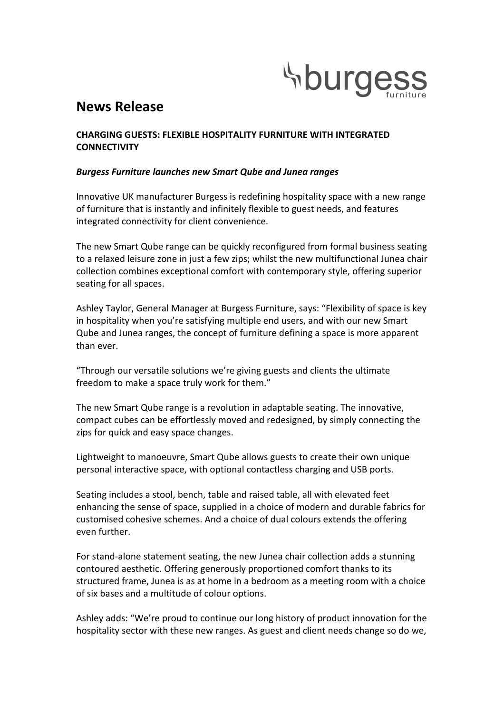

# **News Release**

# **CHARGING GUESTS: FLEXIBLE HOSPITALITY FURNITURE WITH INTEGRATED CONNECTIVITY**

# *Burgess Furniture launches new Smart Qube and Junea ranges*

Innovative UK manufacturer Burgess is redefining hospitality space with a new range of furniture that is instantly and infinitely flexible to guest needs, and features integrated connectivity for client convenience.

The new Smart Qube range can be quickly reconfigured from formal business seating to a relaxed leisure zone in just a few zips; whilst the new multifunctional Junea chair collection combines exceptional comfort with contemporary style, offering superior seating for all spaces.

Ashley Taylor, General Manager at Burgess Furniture, says: "Flexibility of space is key in hospitality when you're satisfying multiple end users, and with our new Smart Qube and Junea ranges, the concept of furniture defining a space is more apparent than ever.

"Through our versatile solutions we're giving guests and clients the ultimate freedom to make a space truly work for them."

The new Smart Qube range is a revolution in adaptable seating. The innovative, compact cubes can be effortlessly moved and redesigned, by simply connecting the zips for quick and easy space changes.

Lightweight to manoeuvre, Smart Qube allows guests to create their own unique personal interactive space, with optional contactless charging and USB ports.

Seating includes a stool, bench, table and raised table, all with elevated feet enhancing the sense of space, supplied in a choice of modern and durable fabrics for customised cohesive schemes. And a choice of dual colours extends the offering even further. 

For stand-alone statement seating, the new Junea chair collection adds a stunning contoured aesthetic. Offering generously proportioned comfort thanks to its structured frame, Junea is as at home in a bedroom as a meeting room with a choice of six bases and a multitude of colour options.

Ashley adds: "We're proud to continue our long history of product innovation for the hospitality sector with these new ranges. As guest and client needs change so do we,